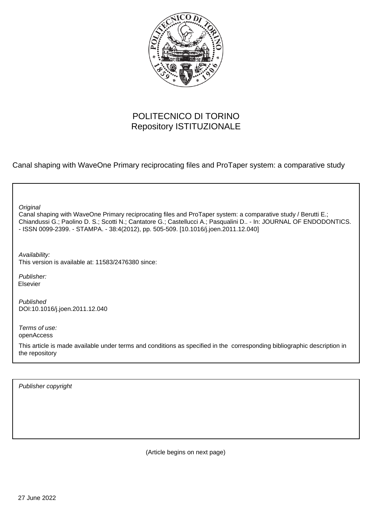

# POLITECNICO DI TORINO Repository ISTITUZIONALE

Canal shaping with WaveOne Primary reciprocating files and ProTaper system: a comparative study

Canal shaping with WaveOne Primary reciprocating files and ProTaper system: a comparative study / Berutti E.; Chiandussi G.; Paolino D. S.; Scotti N.; Cantatore G.; Castellucci A.; Pasqualini D.. - In: JOURNAL OF ENDODONTICS. - ISSN 0099-2399. - STAMPA. - 38:4(2012), pp. 505-509. [10.1016/j.joen.2011.12.040] **Original** Publisher: Published DOI:10.1016/j.joen.2011.12.040 Terms of use: openAccess This article is made available under terms and conditions as specified in the corresponding bibliographic description in Availability: This version is available at: 11583/2476380 since: Elsevier

Publisher copyright

the repository

(Article begins on next page)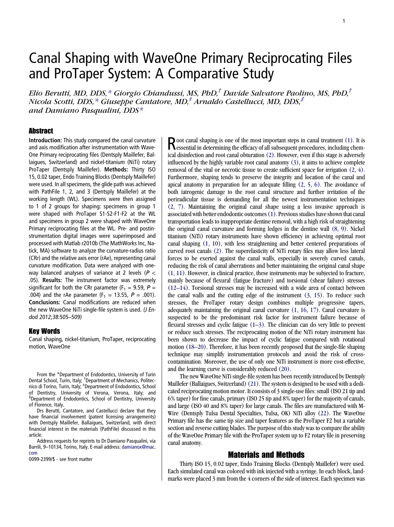# Canal Shaping with WaveOne Primary Reciprocating Files and ProTaper System: A Comparative Study

Elio Berutti, MD, DDS,\* Giorgio Chiandussi, MS, PhD,<sup>†</sup> Davide Salvatore Paolino, MS, PhD,<sup>†</sup> Nicola Scotti, DDS,  $*$  Giuseppe Cantatore, MD,  $*$  Arnaldo Castellucci, MD, DDS,  $\mathcal{S}$ and Damiano Pasqualini, DDS\*

#### Abstract

Introduction: This study compared the canal curvature and axis modification after instrumentation with Wave-One Primary reciprocating files (Dentsply Maillefer, Ballaigues, Switzerland) and nickel-titanium (NiTi) rotary ProTaper (Dentsply Maillefer). Methods: Thirty ISO 15, 0.02 taper, Endo Training Blocks (Dentsply Maillefer) were used. In all specimens, the glide path was achieved with PathFile 1, 2, and 3 (Dentsply Maillefer) at the working length (WL). Specimens were then assigned to 1 of 2 groups for shaping: specimens in group 1 were shaped with ProTaper S1-S2-F1-F2 at the WL and specimens in group 2 were shaped with WaveOne Primary reciprocating files at the WL. Pre- and postinstrumentation digital images were superimposed and processed with Matlab r2010b (The MathWorks Inc, Natick, MA) software to analyze the curvature-radius ratio (CRr) and the relative axis error (rAe), representing canal curvature modification. Data were analyzed with oneway balanced analyses of variance at 2 levels ( $P <$ .05). Results: The instrument factor was extremely significant for both the CRr parameter ( $F_1 = 9.59$ ,  $P =$ .004) and the rAe parameter ( $F_1 = 13.55$ ,  $P = .001$ ). Conclusions: Canal modifications are reduced when the new WaveOne NiTi single-file system is used. (J Endod 2012;38:505–509)

#### Key Words

Canal shaping, nickel-titanium, ProTaper, reciprocating motion, WaveOne

From the \*Department of Endodontics, University of Turin Dental School, Turin, Italy; † Department of Mechanics, Politec-nico di Torino, Turin, Italy; ‡ Department of Endodontics, School of Dentistry, University of Verona, Verona, Italy; and § Department of Endodontics, School of Dentistry, University of Florence, Italy.

Drs Berutti, Cantatore, and Castellucci declare that they have financial involvement (patent licensing arrangements) with Dentsply Maillefer, Ballaigues, Switzerland, with direct financial interest in the materials (PathFile) discussed in this article.

Address requests for reprints to Dr Damiano Pasqualini, via Barrili, 9–10134, Torino, Italy. E-mail address: [damianox@mac.](mailto:damianox@mac.com) [com](mailto:damianox@mac.com)

0099-2399/\$ - see front matter

Root canal shaping is one of the most important steps in canal treatment (1). It is essential in determining the efficacy of all subsequent procedures, including chemical disinfection and root canal obturation (2). However, even if this stage is adversely influenced by the highly variable root canal anatomy (3), it aims to achieve complete removal of the vital or necrotic tissue to create sufficient space for irrigation (2, 4). Furthermore, shaping tends to preserve the integrity and location of the canal and apical anatomy in preparation for an adequate filling (2, 5, 6). The avoidance of both iatrogenic damage to the root canal structure and further irritation of the periradicular tissue is demanding for all the newest instrumentation techniques (2, 7). Maintaining the original canal shape using a less invasive approach is associated with better endodontic outcomes(1). Previous studies have shown that canal transportation leads to inappropriate dentine removal, with a high risk of straightening the original canal curvature and forming ledges in the dentine wall (8, 9). Nickel titanium (NiTi) rotary instruments have shown efficiency in achieving optimal root canal shaping (1, 10), with less straightening and better centered preparations of curved root canals (2). The superelasticity of NiTi rotary files may allow less lateral forces to be exerted against the canal walls, especially in severely curved canals, reducing the risk of canal aberrations and better maintaining the original canal shape (1, 11). However, in clinical practice, these instruments may be subjected to fracture, mainly because of flexural (fatigue fracture) and torsional (shear failure) stresses (12–14). Torsional stresses may be increased with a wide area of contact between the canal walls and the cutting edge of the instrument  $(3, 15)$ . To reduce such stresses, the ProTaper rotary design combines multiple progressive tapers, adequately maintaining the original canal curvature (1, 16, 17). Canal curvature is suspected to be the predominant risk factor for instrument failure because of flexural stresses and cyclic fatigue (1–3). The clinician can do very little to prevent or reduce such stresses. The reciprocating motion of the NiTi rotary instrument has been shown to decrease the impact of cyclic fatigue compared with rotational motion (18–20). Therefore, it has been recently proposed that the single-file shaping technique may simplify instrumentation protocols and avoid the risk of crosscontamination. Moreover, the use of only one NiTi instrument is more cost-effective, and the learning curve is considerably reduced (20).

The new WaveOne NiTi single-file system has been recently introduced by Dentsply Maillefer (Ballaigues, Switzerland) (21). The system is designed to be used with a dedicated reciprocating motion motor. It consists of 3 single-use files: small (ISO 21 tip and 6% taper) for fine canals, primary (ISO 25 tip and 8% taper) for the majority of canals, and large (ISO 40 and 8% taper) for large canals. The files are manufactured with M-Wire (Dentsply Tulsa Dental Specialties, Tulsa, OK) NiTi alloy (22). The WaveOne Primary file has the same tip size and taper features as the ProTaper F2 but a variable section and reverse cutting blades. The purpose of this study was to compare the ability of the WaveOne Primary file with the ProTaper system up to F2 rotary file in preserving canal anatomy.

### Materials and Methods

Thirty ISO 15, 0.02 taper, Endo Training Blocks (Dentsply Maillefer) were used. Each simulated canal was colored with ink injected with a syringe. In each block, landmarks were placed 3 mm from the 4 corners of the side of interest. Each specimen was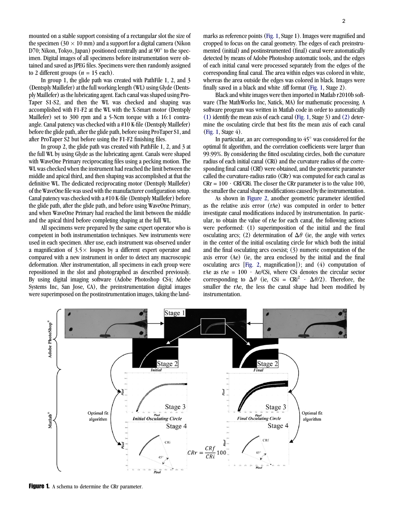mounted on a stable support consisting of a rectangular slot the size of the specimen (30  $\times$  10 mm) and a support for a digital camera (Nikon D70; Nikon, Tokyo, Japan) positioned centrally and at  $90^{\circ}$  to the specimen. Digital images of all specimens before instrumentation were obtained and saved as JPEG files. Specimens were then randomly assigned to 2 different groups  $(n = 15 \text{ each})$ .

In group 1, the glide path was created with PathFile 1, 2, and 3 (Dentsply Maillefer) at the full working length (WL) using Glyde (Dentsply Maillefer) as the lubricating agent. Each canal was shaped using Pro-Taper S1-S2, and then the WL was checked and shaping was accomplished with F1-F2 at the WL with the X-Smart motor (Dentsply Maillefer) set to 300 rpm and a 5-Ncm torque with a 16:1 contraangle. Canal patency was checked with a #10 K-file (Dentsply Maillefer) before the glide path, after the glide path, before using ProTaper S1, and after ProTaper S2 but before using the F1-F2 finishing files.

In group 2, the glide path was created with PathFile 1, 2, and 3 at the full WL by using Glyde as the lubricating agent. Canals were shaped with WaveOne Primary reciprocating files using a pecking motion. The WL was checked when the instrument had reached the limit between the middle and apical third, and then shaping was accomplished at that the definitive WL. The dedicated reciprocating motor (Dentsply Maillefer) of the WaveOne file was used with the manufacturer configuration setup. Canal patency was checked with a #10 K-file (Dentsply Maillefer) before the glide path, after the glide path, and before using WaveOne Primary, and when WaveOne Primary had reached the limit between the middle and the apical third before completing shaping at the full WL.

All specimens were prepared by the same expert operator who is competent in both instrumentation techniques. New instruments were used in each specimen. After use, each instrument was observed under a magnification of  $3.5 \times$  loupes by a different expert operator and compared with a new instrument in order to detect any macroscopic deformation. After instrumentation, all specimens in each group were repositioned in the slot and photographed as described previously. By using digital imaging software (Adobe Photoshop CS4; Adobe Systems Inc, San Jose, CA), the preinstrumentation digital images were superimposed on the postinstrumentation images, taking the landmarks as reference points (Fig. 1, Stage 1). Images were magnified and cropped to focus on the canal geometry. The edges of each preinstrumented (initial) and postinstrumented (final) canal were automatically detected by means of Adobe Photoshop automatic tools, and the edges of each initial canal were processed separately from the edges of the corresponding final canal. The area within edges was colored in white, whereas the area outside the edges was colored in black. Images were finally saved in a black and white .tiff format (Fig. 1, Stage 2).

Black and white images were then imported in Matlab r2010b software (The MathWorks Inc, Natick, MA) for mathematic processing. A software program was written in Matlab code in order to automatically (1) identify the mean axis of each canal (Fig. 1, Stage 3) and (2) determine the osculating circle that best fits the mean axis of each canal (Fig. 1, Stage 4).

In particular, an arc corresponding to  $45^{\circ}$  was considered for the optimal fit algorithm, and the correlation coefficients were larger than 99.99%. By considering the fitted osculating circles, both the curvature radius of each initial canal (CRi) and the curvature radius of the corresponding final canal (CRf) were obtained, and the geometric parameter called the curvature-radius ratio (CRr) was computed for each canal as  $CRr = 100 \cdot CRf/CRi$ . The closer the CRr parameter is to the value 100, the smaller the canal shape modifications caused by the instrumentation.

As shown in Figure 2, another geometric parameter identified as the relative axis error (rAe) was computed in order to better investigate canal modifications induced by instrumentation. In particular, to obtain the value of rAe for each canal, the following actions were performed: (1) superimposition of the initial and the final osculating arcs; (2) determination of  $\Delta\theta$  (ie, the angle with vertex in the center of the initial osculating circle for which both the initial and the final osculating arcs coexist; (3) numeric computation of the axis error (Ae) (ie, the area enclosed by the initial and the final osculating arcs [Fig. 2, magnification]); and (4) computation of rAe as rAe =  $100 \cdot$  Ae/CSi, where CSi denotes the circular sector corresponding to  $\Delta\theta$  (ie, CSi = CRi<sup>2</sup>  $\cdot$   $\Delta\theta$ /2). Therefore, the smaller the rAe, the less the canal shape had been modified by instrumentation.



Figure 1. A schema to determine the CRr parameter.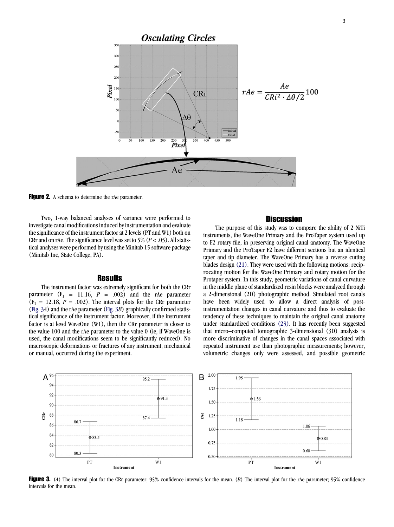

Figure 2. A schema to determine the rAe parameter.

Two, 1-way balanced analyses of variance were performed to investigate canal modifications induced by instrumentation and evaluate the significance of the instrument factor at 2 levels (PT and W1) both on CRr and on rAe. The significance level was set to 5% ( $P < .05$ ). All statistical analyses were performed by using the Minitab 15 software package (Minitab Inc, State College, PA).

#### **Results**

The instrument factor was extremely significant for both the CRr parameter  $(F_1 = 11.16, P = .002)$  and the rAe parameter  $(F_1 = 12.18, P = .002)$ . The interval plots for the CRr parameter (Fig. 3A) and the rAe parameter (Fig. 3B) graphically confirmed statistical significance of the instrument factor. Moreover, if the instrument factor is at level WaveOne (W1), then the CRr parameter is closer to the value 100 and the rAe parameter to the value 0 (ie, if WaveOne is used, the canal modifications seem to be significantly reduced). No macroscopic deformations or fractures of any instrument, mechanical or manual, occurred during the experiment.

## **Discussion**

The purpose of this study was to compare the ability of 2 NiTi instruments, the WaveOne Primary and the ProTaper system used up to F2 rotary file, in preserving original canal anatomy. The WaveOne Primary and the ProTaper F2 have different sections but an identical taper and tip diameter. The WaveOne Primary has a reverse cutting blades design (21). They were used with the following motions: reciprocating motion for the WaveOne Primary and rotary motion for the Protaper system. In this study, geometric variations of canal curvature in the middle plane of standardized resin blocks were analyzed through a 2-dimensional (2D) photographic method. Simulated root canals have been widely used to allow a direct analysis of postinstrumentation changes in canal curvature and thus to evaluate the tendency of these techniques to maintain the original canal anatomy under standardized conditions (23). It has recently been suggested that micro–computed tomographic 3-dimensional (3D) analysis is more discriminative of changes in the canal spaces associated with repeated instrument use than photographic measurements; however, volumetric changes only were assessed, and possible geometric



Figure 3. (A) The interval plot for the CRr parameter;  $95\%$  confidence intervals for the mean. (B) The interval plot for the rAe parameter;  $95\%$  confidence intervals for the mean.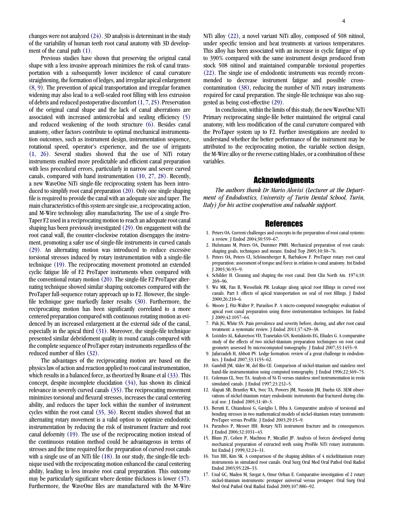changes were not analyzed (24). 3D analysis is determinant in the study of the variability of human teeth root canal anatomy with 3D development of the canal path (1).

Previous studies have shown that preserving the original canal shape with a less invasive approach minimizes the risk of canal transportation with a subsequently lower incidence of canal curvature straightening, the formation of ledges, and irregular apical enlargement (8, 9). The prevention of apical transportation and irregular foramen widening may also lead to a well-sealed root filling with less extrusion of debris and reduced postoperative discomfort(1, 7, 25). Preservation of the original canal shape and the lack of canal aberrations are associated with increased antimicrobial and sealing efficiency (5) and reduced weakening of the tooth structure (6). Besides canal anatomy, other factors contribute to optimal mechanical instrumentation outcomes, such as instrument design, instrumentation sequence, rotational speed, operator's experience, and the use of irrigants (1, 26). Several studies showed that the use of NiTi rotary instruments enabled more predictable and efficient canal preparation with less procedural errors, particularly in narrow and severe curved canals, compared with hand instrumentation (10, 27, 28). Recently, a new WaveOne NiTi single-file reciprocating system has been introduced to simplify root canal preparation (20). Only one single shaping file is required to provide the canal with an adequate size and taper. The main characteristics of this system are single use, a reciprocating action, and M-Wire technology alloy manufacturing. The use of a single Pro-Taper F2 used in a reciprocating motion to reach an adequate root canal shaping has been previously investigated (29). On engagement with the root canal wall, the counter-clockwise rotation disengages the instrument, promoting a safer use of single-file instruments in curved canals (29). An alternating motion was introduced to reduce excessive torsional stresses induced by rotary instrumentation with a single-file technique (19). The reciprocating movement promoted an extended cyclic fatigue life of F2 ProTaper instruments when compared with the conventional rotary motion (20). The single-file F2 ProTaper alternating technique showed similar shaping outcomes compared with the ProTaper full-sequence rotary approach up to F2. However, the singlefile technique gave markedly faster results (30). Furthermore, the reciprocating motion has been significantly correlated to a more centered preparation compared with continuous rotating motion as evidenced by an increased enlargement at the external side of the canal, especially in the apical third (31). Moreover, the single-file technique presented similar debridement quality in round canals compared with the complete sequence of ProTaper rotary instruments regardless of the reduced number of files (32).

The advantages of the reciprocating motion are based on the physics law of action and reaction applied to root canal instrumentation, which results in a balanced force, as theorized by Roane et al  $(33)$ . This concept, despite incomplete elucidation (34), has shown its clinical relevance in severely curved canals (35). The reciprocating movement minimizes torsional and flexural stresses, increases the canal centering ability, and reduces the taper lock within the number of instrument cycles within the root canal (35, 36). Recent studies showed that an alternating rotary movement is a valid option to optimize endodontic instrumentation by reducing the risk of instrument fracture and root canal deformity (19). The use of the reciprocating motion instead of the continuous rotation method could be advantageous in terms of stresses and the time required for the preparation of curved root canals with a single use of an NiTi file (18). In our study, the single-file technique used with the reciprocating motion enhanced the canal centering ability, leading to less invasive root canal preparation. This outcome may be particularly significant where dentine thickness is lower (37). Furthermore, the WaveOne files are manufactured with the M-Wire

NiTi alloy (22), a novel variant NiTi alloy, composed of 508 nitinol, under specific tension and heat treatments at various temperatures. This alloy has been associated with an increase in cyclic fatigue of up to 390% compared with the same instrument design produced from stock 508 nitinol and maintained comparable torsional properties (22). The single use of endodontic instruments was recently recommended to decrease instrument fatigue and possible crosscontamination (38), reducing the number of NiTi rotary instruments required for canal preparation. The single-file technique was also suggested as being cost-effective (29).

In conclusion, within the limits of this study, the new WaveOne NiTi Primary reciprocating single-file better maintained the original canal anatomy, with less modification of the canal curvature compared with the ProTaper system up to F2. Further investigations are needed to understand whether the better performance of the instrument may be attributed to the reciprocating motion, the variable section design, the M-Wire alloy or the reverse cutting blades, or a combination of these variables.

#### Acknowledgments

The authors thank Dr Mario Alovisi (Lecturer at the Department of Endodontics, University of Turin Dental School, Turin, Italy) for his active cooperation and valuable support.

#### References

- 1. Peters OA. Current challenges and concepts in the preparation of root canal systems: a review. J Endod 2004;30:559–67.
- 2. Hulsmann M, Peters OA, Dummer PMH. Mechanical preparation of root canals: shaping goals, techniques and means. Endod Top 2005;10:30–76.
- 3. Peters OA, Peters CI, Schönenberger K, Barbakow F. ProTaper rotary root canal preparation: assessment of torque and force in relation to canal anatomy. Int Endod J 2003;36:93–9.
- 4. Schilder H. Cleaning and shaping the root canal. Dent Clin North Am. 1974;18: 269–96.
- 5. Wu MK, Fan B, Wesselink PR. Leakage along apical root fillings in curved root canals. Part I: effects of apical transportation on seal of root fillings. J Endod 2000;26:210–6.
- 6. Moore J, Fitz-Walter P, Parashos P. A micro-computed tomographic evaluation of apical root canal preparation using three instrumentation techniques. Int Endod J 2009;42:1057–64.
- 7. Pak JG, White SN. Pain prevalence and severity before, during, and after root canal treatment: a systematic review. J Endod 2011;37:429–38.
- 8. Loizides AL, Kakavetsos VD, Tzanetakis GN, Kontakiotis EG, Eliades G. A comparative study of the effects of two nickel-titanium preparation techniques on root canal geometry assessed by microcomputed tomography. J Endod 2007;33:1455–9.
- 9. Jafarzadeh H, Abbott PV. Ledge formation: review of a great challenge in endodontics. J Endod 2007;33:1155–62.
- 10. Gambill JM, Alder M, del Rio CE. Comparison of nickel-titanium and stainless steel hand-file instrumentation using computed tomography. J Endod 1996;22:369–75.
- 11. Coleman CL, Svec TA. Analysis of Ni-Ti versus stainless steel instrumentation in resin simulated canals. J Endod 1997;23:232–5.
- 12. Alapati SB, Brantley WA, Svec TA, Powers JM, Nusstein JM, Daehn GS. SEM observations of nickel-titanium rotary endodontic instruments that fractured during clinical use. J Endod 2005;31:40–3.
- 13. Berutti E, Chiandussi G, Gaviglio I, Ibba A. Comparative analysis of torsional and bending stresses in two mathematical models of nickel-titanium rotary instruments: ProTaper versus ProFile. J Endod 2003;29:15–9.
- 14. Parashos P, Messer HH. Rotary NiTi instrument fracture and its consequences. Endod 2006:32:1031-43.
- 15. Blum JY, Cohen P, Machtou P, Micallet JP. Analysis of forces developed during mechanical preparation of extracted teeth using ProFile NiTi rotary instruments. Int Endod J 1999;32:24–31.
- 16. Yun HH, Kim SK. A comparison of the shaping abilities of 4 nickeltitanium rotary instruments in simulated root canals. Oral Surg Oral Med Oral Pathol Oral Radiol Endod 2003;95:228–33.
- 17. Unal GC, Maden M, Savgat A, Onur Orhan E. Comparative investigation of 2 rotary nickel-titanium instruments: protaper universal versus protaper. Oral Surg Oral Med Oral Pathol Oral Radiol Endod 2009;107:886–92.